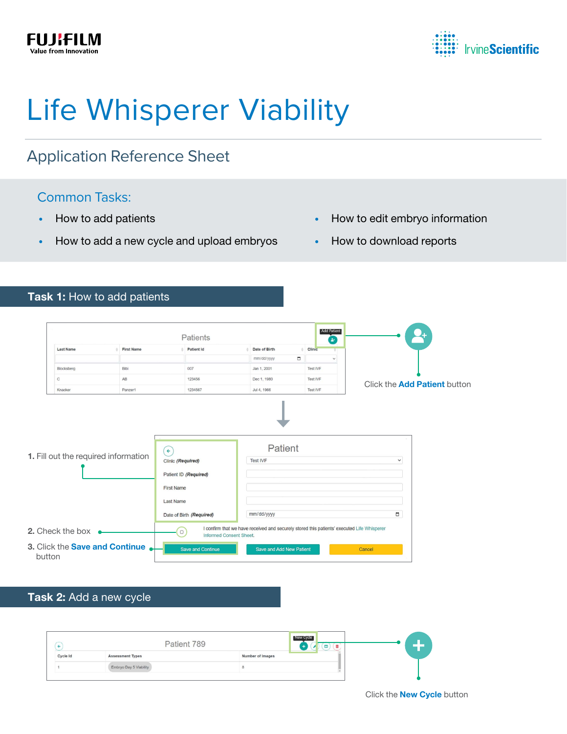



# Life Whisperer Viability

## Application Reference Sheet

## Common Tasks:

- How to add patients
- How to add a new cycle and upload embryos
- How to edit embryo information
- How to download reports

#### Task 1: How to add patients

|                                      |                   | <b>Patients</b>                                                                                                                              |                                                                                            | <b>Add Patient</b><br>B. |                                     |  |
|--------------------------------------|-------------------|----------------------------------------------------------------------------------------------------------------------------------------------|--------------------------------------------------------------------------------------------|--------------------------|-------------------------------------|--|
| <b>Last Name</b>                     | <b>First Name</b> | <b>Patient Id</b>                                                                                                                            | Date of Birth                                                                              | Clinic<br>$\frac{1}{2}$  |                                     |  |
|                                      |                   |                                                                                                                                              | mm/dd/yyyy<br>$\Box$                                                                       | $\checkmark$             |                                     |  |
| Blocksberg                           | Bibi              | 007                                                                                                                                          | Jan 1, 2001                                                                                | <b>Test IVF</b>          |                                     |  |
| $\mathbf C$                          | AB                | 123456                                                                                                                                       | Dec 1, 1980                                                                                | Test IVF                 |                                     |  |
| Knacker                              | Panzer1           | 1234567                                                                                                                                      | Jul 4, 1966                                                                                | Test IVF                 | Click the <b>Add Patient</b> button |  |
| 1. Fill out the required information |                   | $\left( \epsilon \right)$<br>Clinic (Required)<br>Patient ID (Required)<br><b>First Name</b><br><b>Last Name</b><br>Date of Birth (Required) | Patient<br><b>Test IVF</b><br>mm/dd/yyyy                                                   |                          | $\checkmark$<br>O                   |  |
|                                      |                   |                                                                                                                                              | I confirm that we have received and securely stored this patients' executed Life Whisperer |                          |                                     |  |
| 2. Check the box $\bullet$           |                   | $\Box$<br>Informed Consent Sheet.                                                                                                            |                                                                                            |                          |                                     |  |

### Task 2: Add a new cycle

|          | Patient 789             |                  | New Cycle |
|----------|-------------------------|------------------|-----------|
| Cycle Id | <b>Assessment Types</b> | Number of Images |           |
|          | Embryo Day 5 Viability  |                  |           |
|          |                         |                  |           |